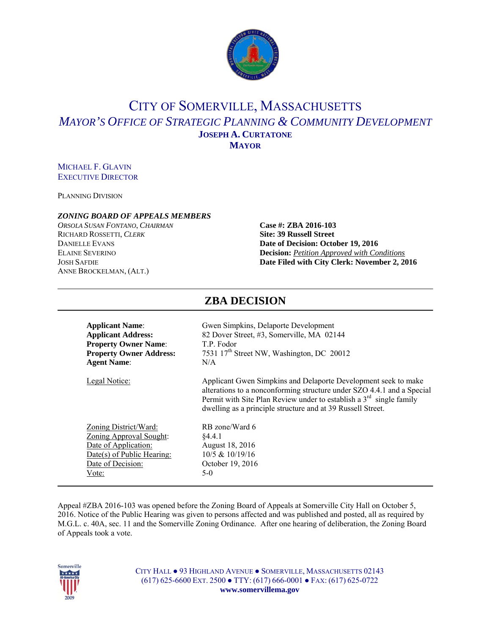

# CITY OF SOMERVILLE, MASSACHUSETTS *MAYOR'S OFFICE OF STRATEGIC PLANNING & COMMUNITY DEVELOPMENT* **JOSEPH A. CURTATONE MAYOR**

#### MICHAEL F. GLAVIN EXECUTIVE DIRECTOR

PLANNING DIVISION

#### *ZONING BOARD OF APPEALS MEMBERS*

*ORSOLA SUSAN FONTANO*, *CHAIRMAN* **Case #: ZBA 2016-103** RICHARD ROSSETTI, *CLERK* **Site: 39 Russell Street** ANNE BROCKELMAN, (ALT.)

# **DANIELLE EVANS Date of Decision: October 19, 2016** ELAINE SEVERINO **Decision:** *Petition Approved with Conditions* JOSH SAFDIE **Date Filed with City Clerk: November 2, 2016**

| <b>Applicant Name:</b>         | Gwen Simpkins, Delaporte Development                                                                                                                                                                                                                                             |
|--------------------------------|----------------------------------------------------------------------------------------------------------------------------------------------------------------------------------------------------------------------------------------------------------------------------------|
| <b>Applicant Address:</b>      | 82 Dover Street, #3, Somerville, MA 02144                                                                                                                                                                                                                                        |
| <b>Property Owner Name:</b>    | T.P. Fodor                                                                                                                                                                                                                                                                       |
| <b>Property Owner Address:</b> | 7531 17 <sup>th</sup> Street NW, Washington, DC 20012                                                                                                                                                                                                                            |
| <b>Agent Name:</b>             | N/A                                                                                                                                                                                                                                                                              |
| <b>Legal Notice:</b>           | Applicant Gwen Simpkins and Delaporte Development seek to make<br>alterations to a nonconforming structure under SZO 4.4.1 and a Special<br>Permit with Site Plan Review under to establish a $3rd$ single family<br>dwelling as a principle structure and at 39 Russell Street. |
| Zoning District/Ward:          | RB zone/Ward 6                                                                                                                                                                                                                                                                   |
| <b>Zoning Approval Sought:</b> | §4.4.1                                                                                                                                                                                                                                                                           |
| Date of Application:           | August 18, 2016                                                                                                                                                                                                                                                                  |
| Date(s) of Public Hearing:     | 10/5 & 10/19/16                                                                                                                                                                                                                                                                  |
| Date of Decision:              | October 19, 2016                                                                                                                                                                                                                                                                 |
| Vote:                          | $5-0$                                                                                                                                                                                                                                                                            |

**ZBA DECISION** 

#### Appeal #ZBA 2016-103 was opened before the Zoning Board of Appeals at Somerville City Hall on October 5, 2016. Notice of the Public Hearing was given to persons affected and was published and posted, all as required by M.G.L. c. 40A, sec. 11 and the Somerville Zoning Ordinance. After one hearing of deliberation, the Zoning Board of Appeals took a vote.

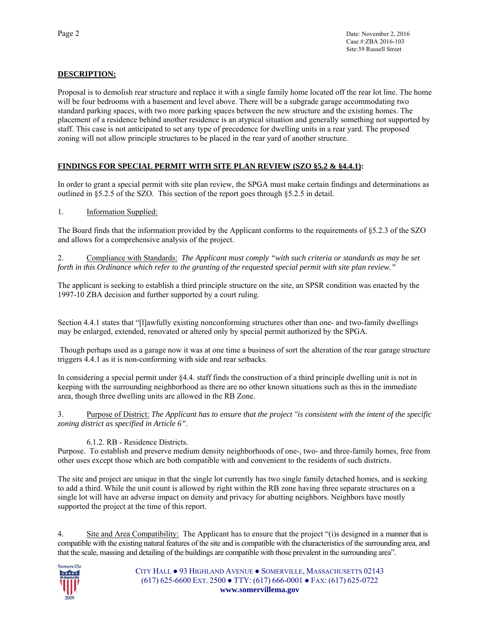## **DESCRIPTION:**

Proposal is to demolish rear structure and replace it with a single family home located off the rear lot line. The home will be four bedrooms with a basement and level above. There will be a subgrade garage accommodating two standard parking spaces, with two more parking spaces between the new structure and the existing homes. The placement of a residence behind another residence is an atypical situation and generally something not supported by staff. This case is not anticipated to set any type of precedence for dwelling units in a rear yard. The proposed zoning will not allow principle structures to be placed in the rear yard of another structure.

#### **FINDINGS FOR SPECIAL PERMIT WITH SITE PLAN REVIEW (SZO §5.2 & §4.4.1):**

In order to grant a special permit with site plan review, the SPGA must make certain findings and determinations as outlined in §5.2.5 of the SZO. This section of the report goes through §5.2.5 in detail.

#### 1. Information Supplied:

The Board finds that the information provided by the Applicant conforms to the requirements of §5.2.3 of the SZO and allows for a comprehensive analysis of the project.

2. Compliance with Standards: *The Applicant must comply "with such criteria or standards as may be set forth in this Ordinance which refer to the granting of the requested special permit with site plan review."*

The applicant is seeking to establish a third principle structure on the site, an SPSR condition was enacted by the 1997-10 ZBA decision and further supported by a court ruling.

Section 4.4.1 states that "[l]awfully existing nonconforming structures other than one- and two-family dwellings may be enlarged, extended, renovated or altered only by special permit authorized by the SPGA.

 Though perhaps used as a garage now it was at one time a business of sort the alteration of the rear garage structure triggers 4.4.1 as it is non-conforming with side and rear setbacks.

In considering a special permit under §4.4. staff finds the construction of a third principle dwelling unit is not in keeping with the surrounding neighborhood as there are no other known situations such as this in the immediate area, though three dwelling units are allowed in the RB Zone.

3. Purpose of District: *The Applicant has to ensure that the project "is consistent with the intent of the specific zoning district as specified in Article 6".*

#### 6.1.2. RB - Residence Districts.

Purpose. To establish and preserve medium density neighborhoods of one-, two- and three-family homes, free from other uses except those which are both compatible with and convenient to the residents of such districts.

The site and project are unique in that the single lot currently has two single family detached homes, and is seeking to add a third. While the unit count is allowed by right within the RB zone having three separate structures on a single lot will have an adverse impact on density and privacy for abutting neighbors. Neighbors have mostly supported the project at the time of this report.

4. Site and Area Compatibility: The Applicant has to ensure that the project "(i)s designed in a manner that is compatible with the existing natural features of the site and is compatible with the characteristics of the surrounding area, and that the scale, massing and detailing of the buildings are compatible with those prevalent in the surrounding area".

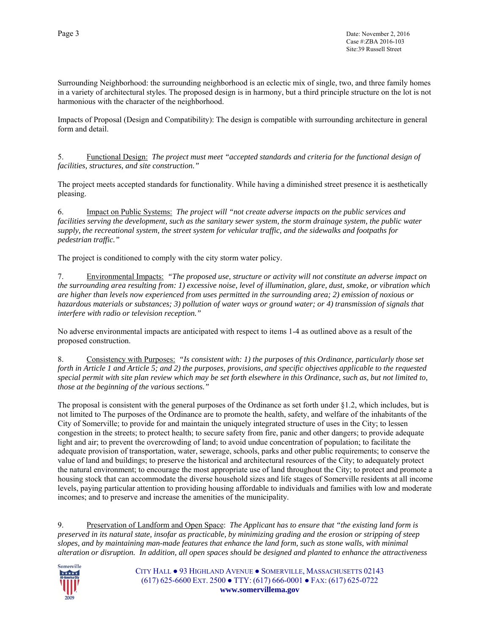Surrounding Neighborhood: the surrounding neighborhood is an eclectic mix of single, two, and three family homes in a variety of architectural styles. The proposed design is in harmony, but a third principle structure on the lot is not harmonious with the character of the neighborhood.

Impacts of Proposal (Design and Compatibility): The design is compatible with surrounding architecture in general form and detail.

5. Functional Design: *The project must meet "accepted standards and criteria for the functional design of facilities, structures, and site construction."*

The project meets accepted standards for functionality. While having a diminished street presence it is aesthetically pleasing.

6. Impact on Public Systems: *The project will "not create adverse impacts on the public services and facilities serving the development, such as the sanitary sewer system, the storm drainage system, the public water supply, the recreational system, the street system for vehicular traffic, and the sidewalks and footpaths for pedestrian traffic."* 

The project is conditioned to comply with the city storm water policy.

7. Environmental Impacts: *"The proposed use, structure or activity will not constitute an adverse impact on the surrounding area resulting from: 1) excessive noise, level of illumination, glare, dust, smoke, or vibration which are higher than levels now experienced from uses permitted in the surrounding area; 2) emission of noxious or hazardous materials or substances; 3) pollution of water ways or ground water; or 4) transmission of signals that interfere with radio or television reception."* 

No adverse environmental impacts are anticipated with respect to items 1-4 as outlined above as a result of the proposed construction.

8. Consistency with Purposes: *"Is consistent with: 1) the purposes of this Ordinance, particularly those set forth in Article 1 and Article 5; and 2) the purposes, provisions, and specific objectives applicable to the requested special permit with site plan review which may be set forth elsewhere in this Ordinance, such as, but not limited to, those at the beginning of the various sections."*

The proposal is consistent with the general purposes of the Ordinance as set forth under §1.2, which includes, but is not limited to The purposes of the Ordinance are to promote the health, safety, and welfare of the inhabitants of the City of Somerville; to provide for and maintain the uniquely integrated structure of uses in the City; to lessen congestion in the streets; to protect health; to secure safety from fire, panic and other dangers; to provide adequate light and air; to prevent the overcrowding of land; to avoid undue concentration of population; to facilitate the adequate provision of transportation, water, sewerage, schools, parks and other public requirements; to conserve the value of land and buildings; to preserve the historical and architectural resources of the City; to adequately protect the natural environment; to encourage the most appropriate use of land throughout the City; to protect and promote a housing stock that can accommodate the diverse household sizes and life stages of Somerville residents at all income levels, paying particular attention to providing housing affordable to individuals and families with low and moderate incomes; and to preserve and increase the amenities of the municipality.

9. Preservation of Landform and Open Space: *The Applicant has to ensure that "the existing land form is preserved in its natural state, insofar as practicable, by minimizing grading and the erosion or stripping of steep slopes, and by maintaining man-made features that enhance the land form, such as stone walls, with minimal alteration or disruption. In addition, all open spaces should be designed and planted to enhance the attractiveness* 

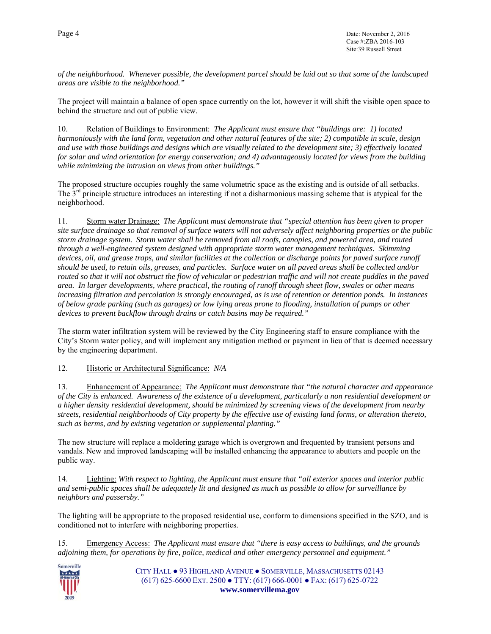*of the neighborhood. Whenever possible, the development parcel should be laid out so that some of the landscaped areas are visible to the neighborhood."* 

The project will maintain a balance of open space currently on the lot, however it will shift the visible open space to behind the structure and out of public view.

10. Relation of Buildings to Environment: *The Applicant must ensure that "buildings are: 1) located harmoniously with the land form, vegetation and other natural features of the site; 2) compatible in scale, design and use with those buildings and designs which are visually related to the development site; 3) effectively located for solar and wind orientation for energy conservation; and 4) advantageously located for views from the building while minimizing the intrusion on views from other buildings."* 

The proposed structure occupies roughly the same volumetric space as the existing and is outside of all setbacks. The 3<sup>rd</sup> principle structure introduces an interesting if not a disharmonious massing scheme that is atypical for the neighborhood.

11. Storm water Drainage: *The Applicant must demonstrate that "special attention has been given to proper site surface drainage so that removal of surface waters will not adversely affect neighboring properties or the public storm drainage system. Storm water shall be removed from all roofs, canopies, and powered area, and routed through a well-engineered system designed with appropriate storm water management techniques. Skimming devices, oil, and grease traps, and similar facilities at the collection or discharge points for paved surface runoff should be used, to retain oils, greases, and particles. Surface water on all paved areas shall be collected and/or routed so that it will not obstruct the flow of vehicular or pedestrian traffic and will not create puddles in the paved area. In larger developments, where practical, the routing of runoff through sheet flow, swales or other means increasing filtration and percolation is strongly encouraged, as is use of retention or detention ponds. In instances of below grade parking (such as garages) or low lying areas prone to flooding, installation of pumps or other devices to prevent backflow through drains or catch basins may be required."*

The storm water infiltration system will be reviewed by the City Engineering staff to ensure compliance with the City's Storm water policy, and will implement any mitigation method or payment in lieu of that is deemed necessary by the engineering department.

12. Historic or Architectural Significance: *N/A* 

13. Enhancement of Appearance: *The Applicant must demonstrate that "the natural character and appearance of the City is enhanced. Awareness of the existence of a development, particularly a non residential development or a higher density residential development, should be minimized by screening views of the development from nearby streets, residential neighborhoods of City property by the effective use of existing land forms, or alteration thereto, such as berms, and by existing vegetation or supplemental planting."* 

The new structure will replace a moldering garage which is overgrown and frequented by transient persons and vandals. New and improved landscaping will be installed enhancing the appearance to abutters and people on the public way.

14. Lighting: *With respect to lighting, the Applicant must ensure that "all exterior spaces and interior public and semi-public spaces shall be adequately lit and designed as much as possible to allow for surveillance by neighbors and passersby."* 

The lighting will be appropriate to the proposed residential use, conform to dimensions specified in the SZO, and is conditioned not to interfere with neighboring properties.

15. Emergency Access: *The Applicant must ensure that "there is easy access to buildings, and the grounds adjoining them, for operations by fire, police, medical and other emergency personnel and equipment."* 

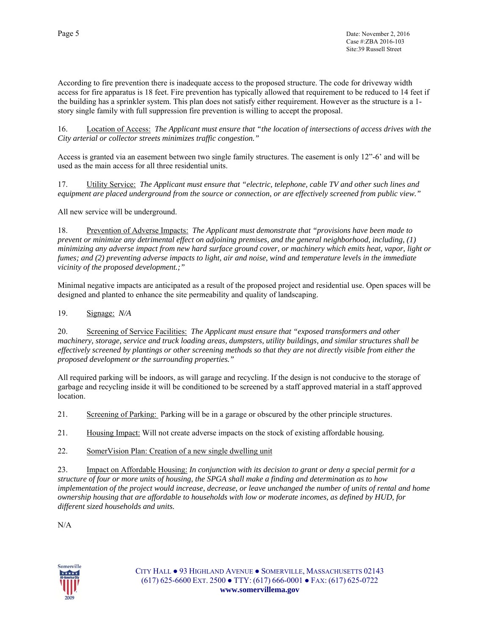According to fire prevention there is inadequate access to the proposed structure. The code for driveway width access for fire apparatus is 18 feet. Fire prevention has typically allowed that requirement to be reduced to 14 feet if the building has a sprinkler system. This plan does not satisfy either requirement. However as the structure is a 1 story single family with full suppression fire prevention is willing to accept the proposal.

16. Location of Access: *The Applicant must ensure that "the location of intersections of access drives with the City arterial or collector streets minimizes traffic congestion."*

Access is granted via an easement between two single family structures. The easement is only 12"-6' and will be used as the main access for all three residential units.

17. Utility Service: *The Applicant must ensure that "electric, telephone, cable TV and other such lines and equipment are placed underground from the source or connection, or are effectively screened from public view."* 

All new service will be underground.

18. Prevention of Adverse Impacts: *The Applicant must demonstrate that "provisions have been made to prevent or minimize any detrimental effect on adjoining premises, and the general neighborhood, including, (1) minimizing any adverse impact from new hard surface ground cover, or machinery which emits heat, vapor, light or fumes; and (2) preventing adverse impacts to light, air and noise, wind and temperature levels in the immediate vicinity of the proposed development.;"* 

Minimal negative impacts are anticipated as a result of the proposed project and residential use. Open spaces will be designed and planted to enhance the site permeability and quality of landscaping.

19. Signage: *N/A*

20. Screening of Service Facilities: *The Applicant must ensure that "exposed transformers and other machinery, storage, service and truck loading areas, dumpsters, utility buildings, and similar structures shall be effectively screened by plantings or other screening methods so that they are not directly visible from either the proposed development or the surrounding properties."*

All required parking will be indoors, as will garage and recycling. If the design is not conducive to the storage of garbage and recycling inside it will be conditioned to be screened by a staff approved material in a staff approved location.

21. Screening of Parking: Parking will be in a garage or obscured by the other principle structures.

21. Housing Impact: Will not create adverse impacts on the stock of existing affordable housing*.*

22. SomerVision Plan: Creation of a new single dwelling unit

23. Impact on Affordable Housing: *In conjunction with its decision to grant or deny a special permit for a structure of four or more units of housing, the SPGA shall make a finding and determination as to how implementation of the project would increase, decrease, or leave unchanged the number of units of rental and home ownership housing that are affordable to households with low or moderate incomes, as defined by HUD, for different sized households and units.*

N/A

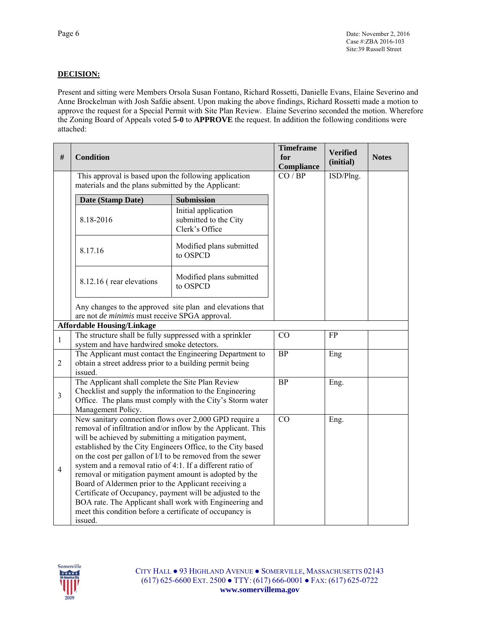## **DECISION:**

Present and sitting were Members Orsola Susan Fontano, Richard Rossetti, Danielle Evans, Elaine Severino and Anne Brockelman with Josh Safdie absent. Upon making the above findings, Richard Rossetti made a motion to approve the request for a Special Permit with Site Plan Review. Elaine Severino seconded the motion. Wherefore the Zoning Board of Appeals voted **5-0** to **APPROVE** the request. In addition the following conditions were attached:

| $\#$           | <b>Condition</b>                                                                                                                                                                                                                                                                                                                                                                                                                                                                                                                                                                                                                                                                           |                                                                | <b>Timeframe</b><br>for<br>Compliance | <b>Verified</b><br>(initial) | <b>Notes</b> |
|----------------|--------------------------------------------------------------------------------------------------------------------------------------------------------------------------------------------------------------------------------------------------------------------------------------------------------------------------------------------------------------------------------------------------------------------------------------------------------------------------------------------------------------------------------------------------------------------------------------------------------------------------------------------------------------------------------------------|----------------------------------------------------------------|---------------------------------------|------------------------------|--------------|
|                | This approval is based upon the following application<br>materials and the plans submitted by the Applicant:                                                                                                                                                                                                                                                                                                                                                                                                                                                                                                                                                                               | CO / BP                                                        | ISD/Plng.                             |                              |              |
|                | Date (Stamp Date)                                                                                                                                                                                                                                                                                                                                                                                                                                                                                                                                                                                                                                                                          | <b>Submission</b>                                              |                                       |                              |              |
|                | 8.18-2016                                                                                                                                                                                                                                                                                                                                                                                                                                                                                                                                                                                                                                                                                  | Initial application<br>submitted to the City<br>Clerk's Office |                                       |                              |              |
|                | 8.17.16                                                                                                                                                                                                                                                                                                                                                                                                                                                                                                                                                                                                                                                                                    | Modified plans submitted<br>to OSPCD                           |                                       |                              |              |
|                | 8.12.16 (rear elevations                                                                                                                                                                                                                                                                                                                                                                                                                                                                                                                                                                                                                                                                   | Modified plans submitted<br>to OSPCD                           |                                       |                              |              |
|                | Any changes to the approved site plan and elevations that<br>are not de minimis must receive SPGA approval.                                                                                                                                                                                                                                                                                                                                                                                                                                                                                                                                                                                |                                                                |                                       |                              |              |
|                | <b>Affordable Housing/Linkage</b>                                                                                                                                                                                                                                                                                                                                                                                                                                                                                                                                                                                                                                                          |                                                                |                                       |                              |              |
| $\mathbf{1}$   | The structure shall be fully suppressed with a sprinkler<br>system and have hardwired smoke detectors.                                                                                                                                                                                                                                                                                                                                                                                                                                                                                                                                                                                     |                                                                | CO                                    | <b>FP</b>                    |              |
| $\overline{2}$ | The Applicant must contact the Engineering Department to<br>obtain a street address prior to a building permit being<br>issued.                                                                                                                                                                                                                                                                                                                                                                                                                                                                                                                                                            |                                                                | <b>BP</b>                             | Eng                          |              |
| $\overline{3}$ | The Applicant shall complete the Site Plan Review<br>Checklist and supply the information to the Engineering<br>Office. The plans must comply with the City's Storm water<br>Management Policy.                                                                                                                                                                                                                                                                                                                                                                                                                                                                                            |                                                                | <b>BP</b>                             | Eng.                         |              |
| $\overline{4}$ | New sanitary connection flows over 2,000 GPD require a<br>removal of infiltration and/or inflow by the Applicant. This<br>will be achieved by submitting a mitigation payment,<br>established by the City Engineers Office, to the City based<br>on the cost per gallon of I/I to be removed from the sewer<br>system and a removal ratio of 4:1. If a different ratio of<br>removal or mitigation payment amount is adopted by the<br>Board of Aldermen prior to the Applicant receiving a<br>Certificate of Occupancy, payment will be adjusted to the<br>BOA rate. The Applicant shall work with Engineering and<br>meet this condition before a certificate of occupancy is<br>issued. |                                                                | CO                                    | Eng.                         |              |

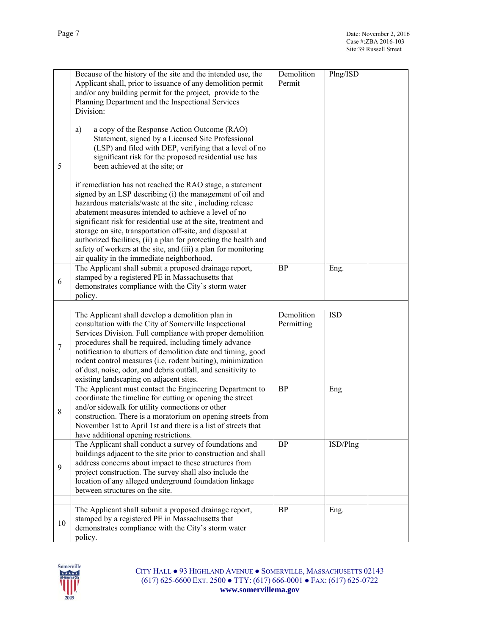|       | Because of the history of the site and the intended use, the<br>Applicant shall, prior to issuance of any demolition permit<br>and/or any building permit for the project, provide to the<br>Planning Department and the Inspectional Services<br>Division:                                                                                                                                                                                                                                                                                                    | Demolition<br>Permit     | Plng/ISD   |
|-------|----------------------------------------------------------------------------------------------------------------------------------------------------------------------------------------------------------------------------------------------------------------------------------------------------------------------------------------------------------------------------------------------------------------------------------------------------------------------------------------------------------------------------------------------------------------|--------------------------|------------|
| 5     | a copy of the Response Action Outcome (RAO)<br>a)<br>Statement, signed by a Licensed Site Professional<br>(LSP) and filed with DEP, verifying that a level of no<br>significant risk for the proposed residential use has<br>been achieved at the site; or                                                                                                                                                                                                                                                                                                     |                          |            |
|       | if remediation has not reached the RAO stage, a statement<br>signed by an LSP describing (i) the management of oil and<br>hazardous materials/waste at the site, including release<br>abatement measures intended to achieve a level of no<br>significant risk for residential use at the site, treatment and<br>storage on site, transportation off-site, and disposal at<br>authorized facilities, (ii) a plan for protecting the health and<br>safety of workers at the site, and (iii) a plan for monitoring<br>air quality in the immediate neighborhood. |                          |            |
| 6     | The Applicant shall submit a proposed drainage report,<br>stamped by a registered PE in Massachusetts that<br>demonstrates compliance with the City's storm water<br>policy.                                                                                                                                                                                                                                                                                                                                                                                   | <b>BP</b>                | Eng.       |
|       |                                                                                                                                                                                                                                                                                                                                                                                                                                                                                                                                                                |                          |            |
| 7     | The Applicant shall develop a demolition plan in<br>consultation with the City of Somerville Inspectional<br>Services Division. Full compliance with proper demolition<br>procedures shall be required, including timely advance<br>notification to abutters of demolition date and timing, good<br>rodent control measures (i.e. rodent baiting), minimization<br>of dust, noise, odor, and debris outfall, and sensitivity to<br>existing landscaping on adjacent sites.                                                                                     | Demolition<br>Permitting | <b>ISD</b> |
| $8\,$ | The Applicant must contact the Engineering Department to<br>coordinate the timeline for cutting or opening the street<br>and/or sidewalk for utility connections or other<br>construction. There is a moratorium on opening streets from<br>November 1st to April 1st and there is a list of streets that<br>have additional opening restrictions.                                                                                                                                                                                                             | <b>BP</b>                | Eng        |
| 9     | The Applicant shall conduct a survey of foundations and<br>buildings adjacent to the site prior to construction and shall<br>address concerns about impact to these structures from<br>project construction. The survey shall also include the<br>location of any alleged underground foundation linkage<br>between structures on the site.                                                                                                                                                                                                                    | BP                       | ISD/Plng   |
|       |                                                                                                                                                                                                                                                                                                                                                                                                                                                                                                                                                                |                          |            |
| 10    | The Applicant shall submit a proposed drainage report,<br>stamped by a registered PE in Massachusetts that<br>demonstrates compliance with the City's storm water<br>policy.                                                                                                                                                                                                                                                                                                                                                                                   | <b>BP</b>                | Eng.       |

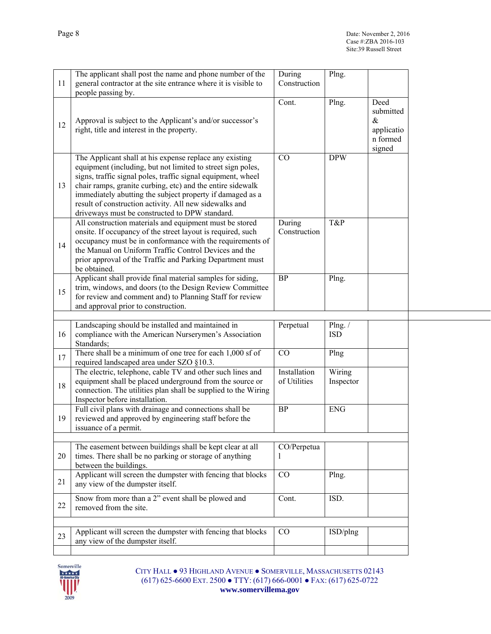| 11 | The applicant shall post the name and phone number of the<br>general contractor at the site entrance where it is visible to<br>people passing by.                                                                                                                                                                                                                                                                             | During<br>Construction       | Plng.                |                                                               |
|----|-------------------------------------------------------------------------------------------------------------------------------------------------------------------------------------------------------------------------------------------------------------------------------------------------------------------------------------------------------------------------------------------------------------------------------|------------------------------|----------------------|---------------------------------------------------------------|
| 12 | Approval is subject to the Applicant's and/or successor's<br>right, title and interest in the property.                                                                                                                                                                                                                                                                                                                       | Cont.                        | Plng.                | Deed<br>submitted<br>$\&$<br>applicatio<br>n formed<br>signed |
| 13 | The Applicant shall at his expense replace any existing<br>equipment (including, but not limited to street sign poles,<br>signs, traffic signal poles, traffic signal equipment, wheel<br>chair ramps, granite curbing, etc) and the entire sidewalk<br>immediately abutting the subject property if damaged as a<br>result of construction activity. All new sidewalks and<br>driveways must be constructed to DPW standard. | CO                           | <b>DPW</b>           |                                                               |
| 14 | All construction materials and equipment must be stored<br>onsite. If occupancy of the street layout is required, such<br>occupancy must be in conformance with the requirements of<br>the Manual on Uniform Traffic Control Devices and the<br>prior approval of the Traffic and Parking Department must<br>be obtained.                                                                                                     | During<br>Construction       | T&P                  |                                                               |
| 15 | Applicant shall provide final material samples for siding,<br>trim, windows, and doors (to the Design Review Committee<br>for review and comment and) to Planning Staff for review<br>and approval prior to construction.                                                                                                                                                                                                     | BP                           | Plng.                |                                                               |
| 16 | Landscaping should be installed and maintained in<br>compliance with the American Nurserymen's Association<br>Standards;                                                                                                                                                                                                                                                                                                      | Perpetual                    | Plng./<br><b>ISD</b> |                                                               |
| 17 | There shall be a minimum of one tree for each 1,000 sf of<br>required landscaped area under SZO §10.3.                                                                                                                                                                                                                                                                                                                        | CO                           | Plng                 |                                                               |
| 18 | The electric, telephone, cable TV and other such lines and<br>equipment shall be placed underground from the source or<br>connection. The utilities plan shall be supplied to the Wiring<br>Inspector before installation.                                                                                                                                                                                                    | Installation<br>of Utilities | Wiring<br>Inspector  |                                                               |
| 19 | Full civil plans with drainage and connections shall be<br>reviewed and approved by engineering staff before the<br>issuance of a permit.                                                                                                                                                                                                                                                                                     | <b>BP</b>                    | <b>ENG</b>           |                                                               |
| 20 | The easement between buildings shall be kept clear at all<br>times. There shall be no parking or storage of anything<br>between the buildings.                                                                                                                                                                                                                                                                                | CO/Perpetua<br>1             |                      |                                                               |
| 21 | Applicant will screen the dumpster with fencing that blocks<br>any view of the dumpster itself.                                                                                                                                                                                                                                                                                                                               | CO                           | Plng.                |                                                               |
| 22 | Snow from more than a 2" event shall be plowed and<br>removed from the site.                                                                                                                                                                                                                                                                                                                                                  | Cont.                        | ISD.                 |                                                               |
| 23 | Applicant will screen the dumpster with fencing that blocks<br>any view of the dumpster itself.                                                                                                                                                                                                                                                                                                                               | CO                           | ISD/plng             |                                                               |
|    |                                                                                                                                                                                                                                                                                                                                                                                                                               |                              |                      |                                                               |

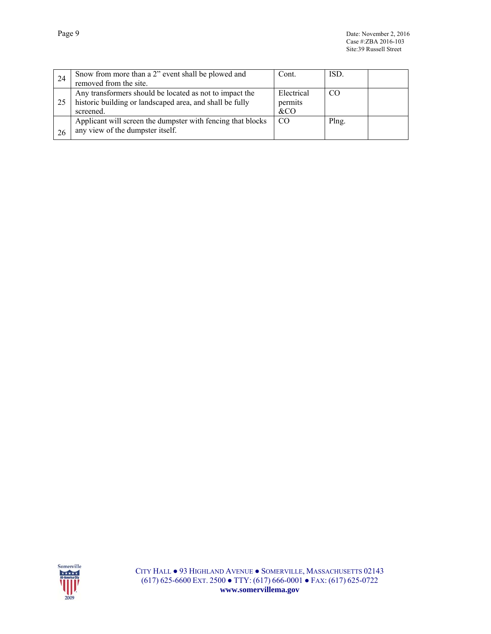| 24 | Snow from more than a 2" event shall be plowed and                                                                               | Cont.                        | ISD.  |  |
|----|----------------------------------------------------------------------------------------------------------------------------------|------------------------------|-------|--|
|    | removed from the site.                                                                                                           |                              |       |  |
| 25 | Any transformers should be located as not to impact the<br>historic building or landscaped area, and shall be fully<br>screened. | Electrical<br>permits<br>&CO | CO    |  |
| 26 | Applicant will screen the dumpster with fencing that blocks<br>any view of the dumpster itself.                                  | -CO                          | Plng. |  |